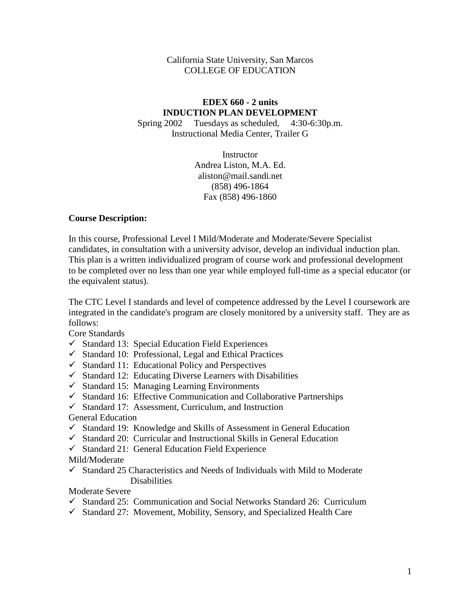### California State University, San Marcos COLLEGE OF EDUCATION

# **EDEX 660 - 2 units INDUCTION PLAN DEVELOPMENT**

Spring 2002 Tuesdays as scheduled, 4:30-6:30p.m. Instructional Media Center, Trailer G

> **Instructor** Andrea Liston, M.A. Ed. aliston@mail.sandi.net (858) 496-1864 Fax (858) 496-1860

#### **Course Description:**

In this course, Professional Level I Mild/Moderate and Moderate/Severe Specialist candidates, in consultation with a university advisor, develop an individual induction plan. This plan is a written individualized program of course work and professional development to be completed over no less than one year while employed full-time as a special educator (or the equivalent status).

The CTC Level I standards and level of competence addressed by the Level I coursework are integrated in the candidate's program are closely monitored by a university staff. They are as follows:

Core Standards

- $\checkmark$  Standard 13: Special Education Field Experiences
- $\checkmark$  Standard 10: Professional, Legal and Ethical Practices
- $\checkmark$  Standard 11: Educational Policy and Perspectives
- $\checkmark$  Standard 12: Educating Diverse Learners with Disabilities
- $\checkmark$  Standard 15: Managing Learning Environments
- $\checkmark$  Standard 16: Effective Communication and Collaborative Partnerships
- $\checkmark$  Standard 17: Assessment, Curriculum, and Instruction

# General Education

- $\checkmark$  Standard 19: Knowledge and Skills of Assessment in General Education
- $\checkmark$  Standard 20: Curricular and Instructional Skills in General Education
- $\checkmark$  Standard 21: General Education Field Experience

# Mild/Moderate

 $\checkmark$  Standard 25 Characteristics and Needs of Individuals with Mild to Moderate **Disabilities** 

Moderate Severe

- $\checkmark$  Standard 25: Communication and Social Networks Standard 26: Curriculum
- $\checkmark$  Standard 27: Movement, Mobility, Sensory, and Specialized Health Care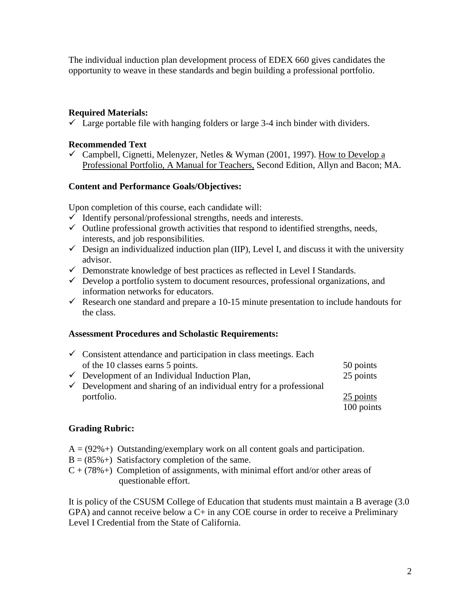The individual induction plan development process of EDEX 660 gives candidates the opportunity to weave in these standards and begin building a professional portfolio.

# **Required Materials:**

 $\checkmark$  Large portable file with hanging folders or large 3-4 inch binder with dividers.

### **Recommended Text**

 $\checkmark$  Campbell, Cignetti, Melenyzer, Netles & Wyman (2001, 1997). How to Develop a Professional Portfolio, A Manual for Teachers, Second Edition, Allyn and Bacon; MA.

#### **Content and Performance Goals/Objectives:**

Upon completion of this course, each candidate will:

- $\checkmark$  Identify personal/professional strengths, needs and interests.
- $\checkmark$  Outline professional growth activities that respond to identified strengths, needs, interests, and job responsibilities.
- $\checkmark$  Design an individualized induction plan (IIP), Level I, and discuss it with the university advisor.
- $\checkmark$  Demonstrate knowledge of best practices as reflected in Level I Standards.
- $\checkmark$  Develop a portfolio system to document resources, professional organizations, and information networks for educators.
- Research one standard and prepare a 10-15 minute presentation to include handouts for the class.

#### **Assessment Procedures and Scholastic Requirements:**

| $\checkmark$ Consistent attendance and participation in class meetings. Each   |            |  |  |
|--------------------------------------------------------------------------------|------------|--|--|
| of the 10 classes earns 5 points.                                              | 50 points  |  |  |
| $\checkmark$ Development of an Individual Induction Plan,                      | 25 points  |  |  |
| $\checkmark$ Development and sharing of an individual entry for a professional |            |  |  |
| portfolio.                                                                     | 25 points  |  |  |
|                                                                                | 100 points |  |  |

# **Grading Rubric:**

- $A = (92\%)$  Outstanding/exemplary work on all content goals and participation.
- $B = (85\% +)$  Satisfactory completion of the same.
- $C + (78\% +)$  Completion of assignments, with minimal effort and/or other areas of questionable effort.

It is policy of the CSUSM College of Education that students must maintain a B average (3.0 GPA) and cannot receive below a C+ in any COE course in order to receive a Preliminary Level I Credential from the State of California.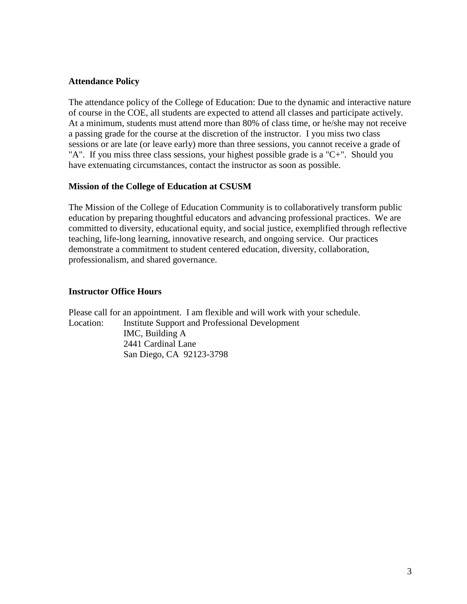#### **Attendance Policy**

The attendance policy of the College of Education: Due to the dynamic and interactive nature of course in the COE, all students are expected to attend all classes and participate actively. At a minimum, students must attend more than 80% of class time, or he/she may not receive a passing grade for the course at the discretion of the instructor. I you miss two class sessions or are late (or leave early) more than three sessions, you cannot receive a grade of "A". If you miss three class sessions, your highest possible grade is a "C+". Should you have extenuating circumstances, contact the instructor as soon as possible.

#### **Mission of the College of Education at CSUSM**

The Mission of the College of Education Community is to collaboratively transform public education by preparing thoughtful educators and advancing professional practices. We are committed to diversity, educational equity, and social justice, exemplified through reflective teaching, life-long learning, innovative research, and ongoing service. Our practices demonstrate a commitment to student centered education, diversity, collaboration, professionalism, and shared governance.

# **Instructor Office Hours**

Please call for an appointment. I am flexible and will work with your schedule. Location: Institute Support and Professional Development IMC, Building A 2441 Cardinal Lane San Diego, CA 92123-3798